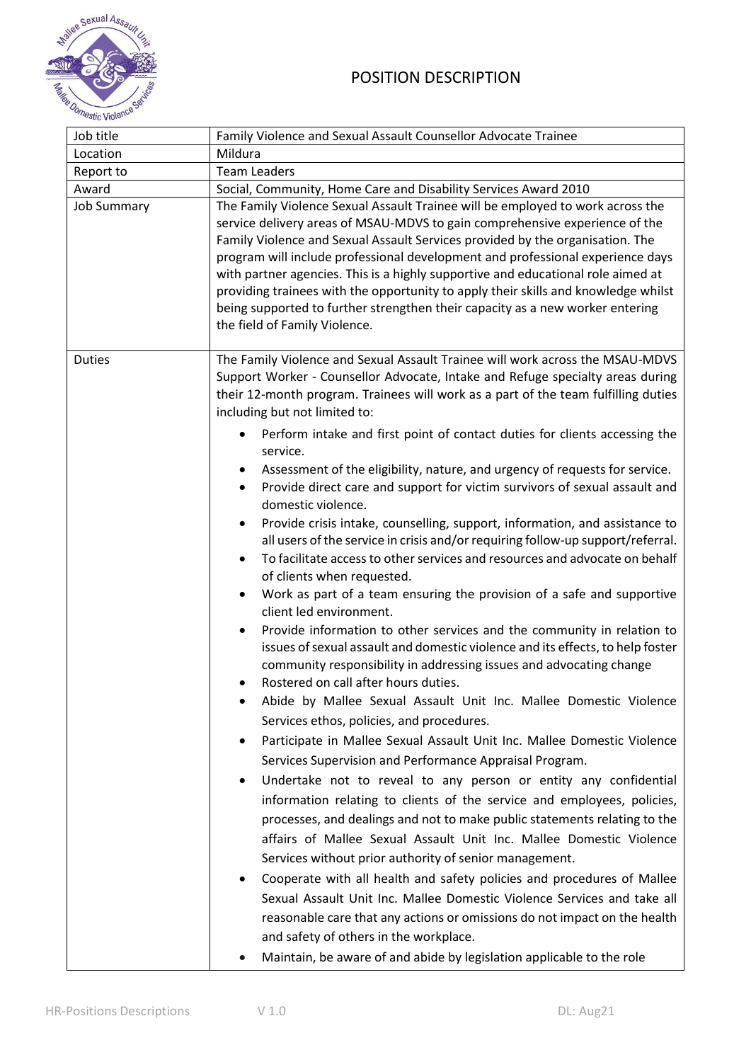

| Job title          | Family Violence and Sexual Assault Counsellor Advocate Trainee                                                                                                                                                                                                                                                                                                                                                                                                                                                                                                                                                               |
|--------------------|------------------------------------------------------------------------------------------------------------------------------------------------------------------------------------------------------------------------------------------------------------------------------------------------------------------------------------------------------------------------------------------------------------------------------------------------------------------------------------------------------------------------------------------------------------------------------------------------------------------------------|
| Location           | Mildura                                                                                                                                                                                                                                                                                                                                                                                                                                                                                                                                                                                                                      |
| Report to          | <b>Team Leaders</b>                                                                                                                                                                                                                                                                                                                                                                                                                                                                                                                                                                                                          |
| Award              | Social, Community, Home Care and Disability Services Award 2010                                                                                                                                                                                                                                                                                                                                                                                                                                                                                                                                                              |
| <b>Job Summary</b> | The Family Violence Sexual Assault Trainee will be employed to work across the<br>service delivery areas of MSAU-MDVS to gain comprehensive experience of the<br>Family Violence and Sexual Assault Services provided by the organisation. The<br>program will include professional development and professional experience days<br>with partner agencies. This is a highly supportive and educational role aimed at<br>providing trainees with the opportunity to apply their skills and knowledge whilst<br>being supported to further strengthen their capacity as a new worker entering<br>the field of Family Violence. |
| <b>Duties</b>      | The Family Violence and Sexual Assault Trainee will work across the MSAU-MDVS<br>Support Worker - Counsellor Advocate, Intake and Refuge specialty areas during<br>their 12-month program. Trainees will work as a part of the team fulfilling duties<br>including but not limited to:                                                                                                                                                                                                                                                                                                                                       |
|                    | Perform intake and first point of contact duties for clients accessing the<br>service.                                                                                                                                                                                                                                                                                                                                                                                                                                                                                                                                       |
|                    | Assessment of the eligibility, nature, and urgency of requests for service.<br>٠<br>Provide direct care and support for victim survivors of sexual assault and<br>domestic violence.<br>Provide crisis intake, counselling, support, information, and assistance to<br>٠                                                                                                                                                                                                                                                                                                                                                     |
|                    | all users of the service in crisis and/or requiring follow-up support/referral.<br>To facilitate access to other services and resources and advocate on behalf<br>$\bullet$<br>of clients when requested.                                                                                                                                                                                                                                                                                                                                                                                                                    |
|                    | Work as part of a team ensuring the provision of a safe and supportive<br>client led environment.                                                                                                                                                                                                                                                                                                                                                                                                                                                                                                                            |
|                    | Provide information to other services and the community in relation to<br>issues of sexual assault and domestic violence and its effects, to help foster<br>community responsibility in addressing issues and advocating change<br>Rostered on call after hours duties.                                                                                                                                                                                                                                                                                                                                                      |
|                    | Abide by Mallee Sexual Assault Unit Inc. Mallee Domestic Violence<br>Services ethos, policies, and procedures.                                                                                                                                                                                                                                                                                                                                                                                                                                                                                                               |
|                    | Participate in Mallee Sexual Assault Unit Inc. Mallee Domestic Violence<br>$\bullet$                                                                                                                                                                                                                                                                                                                                                                                                                                                                                                                                         |
|                    | Services Supervision and Performance Appraisal Program.                                                                                                                                                                                                                                                                                                                                                                                                                                                                                                                                                                      |
|                    | Undertake not to reveal to any person or entity any confidential<br>$\bullet$                                                                                                                                                                                                                                                                                                                                                                                                                                                                                                                                                |
|                    | information relating to clients of the service and employees, policies,                                                                                                                                                                                                                                                                                                                                                                                                                                                                                                                                                      |
|                    | processes, and dealings and not to make public statements relating to the                                                                                                                                                                                                                                                                                                                                                                                                                                                                                                                                                    |
|                    | affairs of Mallee Sexual Assault Unit Inc. Mallee Domestic Violence                                                                                                                                                                                                                                                                                                                                                                                                                                                                                                                                                          |
|                    | Services without prior authority of senior management.                                                                                                                                                                                                                                                                                                                                                                                                                                                                                                                                                                       |
|                    | Cooperate with all health and safety policies and procedures of Mallee<br>٠                                                                                                                                                                                                                                                                                                                                                                                                                                                                                                                                                  |
|                    | Sexual Assault Unit Inc. Mallee Domestic Violence Services and take all                                                                                                                                                                                                                                                                                                                                                                                                                                                                                                                                                      |
|                    | reasonable care that any actions or omissions do not impact on the health                                                                                                                                                                                                                                                                                                                                                                                                                                                                                                                                                    |
|                    | and safety of others in the workplace.                                                                                                                                                                                                                                                                                                                                                                                                                                                                                                                                                                                       |
|                    | Maintain, be aware of and abide by legislation applicable to the role                                                                                                                                                                                                                                                                                                                                                                                                                                                                                                                                                        |